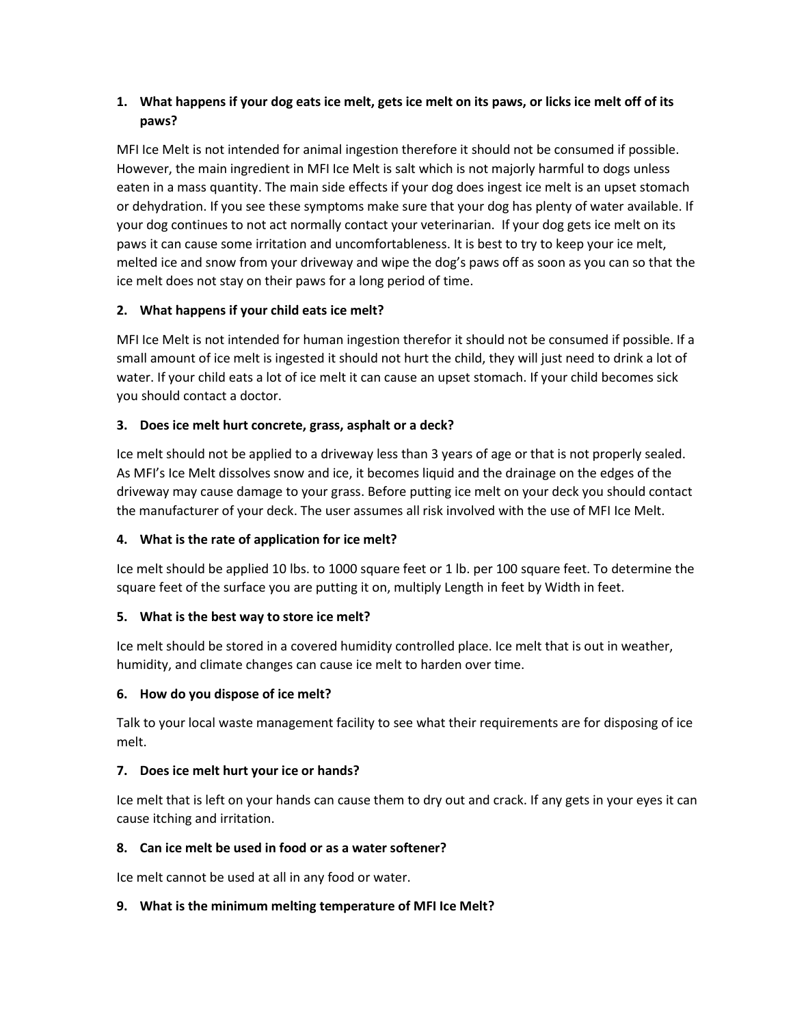# **1. What happens if your dog eats ice melt, gets ice melt on its paws, or licks ice melt off of its paws?**

MFI Ice Melt is not intended for animal ingestion therefore it should not be consumed if possible. However, the main ingredient in MFI Ice Melt is salt which is not majorly harmful to dogs unless eaten in a mass quantity. The main side effects if your dog does ingest ice melt is an upset stomach or dehydration. If you see these symptoms make sure that your dog has plenty of water available. If your dog continues to not act normally contact your veterinarian. If your dog gets ice melt on its paws it can cause some irritation and uncomfortableness. It is best to try to keep your ice melt, melted ice and snow from your driveway and wipe the dog's paws off as soon as you can so that the ice melt does not stay on their paws for a long period of time.

### **2. What happens if your child eats ice melt?**

MFI Ice Melt is not intended for human ingestion therefor it should not be consumed if possible. If a small amount of ice melt is ingested it should not hurt the child, they will just need to drink a lot of water. If your child eats a lot of ice melt it can cause an upset stomach. If your child becomes sick you should contact a doctor.

# **3. Does ice melt hurt concrete, grass, asphalt or a deck?**

Ice melt should not be applied to a driveway less than 3 years of age or that is not properly sealed. As MFI's Ice Melt dissolves snow and ice, it becomes liquid and the drainage on the edges of the driveway may cause damage to your grass. Before putting ice melt on your deck you should contact the manufacturer of your deck. The user assumes all risk involved with the use of MFI Ice Melt.

### **4. What is the rate of application for ice melt?**

Ice melt should be applied 10 lbs. to 1000 square feet or 1 lb. per 100 square feet. To determine the square feet of the surface you are putting it on, multiply Length in feet by Width in feet.

### **5. What is the best way to store ice melt?**

Ice melt should be stored in a covered humidity controlled place. Ice melt that is out in weather, humidity, and climate changes can cause ice melt to harden over time.

### **6. How do you dispose of ice melt?**

Talk to your local waste management facility to see what their requirements are for disposing of ice melt.

### **7. Does ice melt hurt your ice or hands?**

Ice melt that is left on your hands can cause them to dry out and crack. If any gets in your eyes it can cause itching and irritation.

### **8. Can ice melt be used in food or as a water softener?**

Ice melt cannot be used at all in any food or water.

### **9. What is the minimum melting temperature of MFI Ice Melt?**